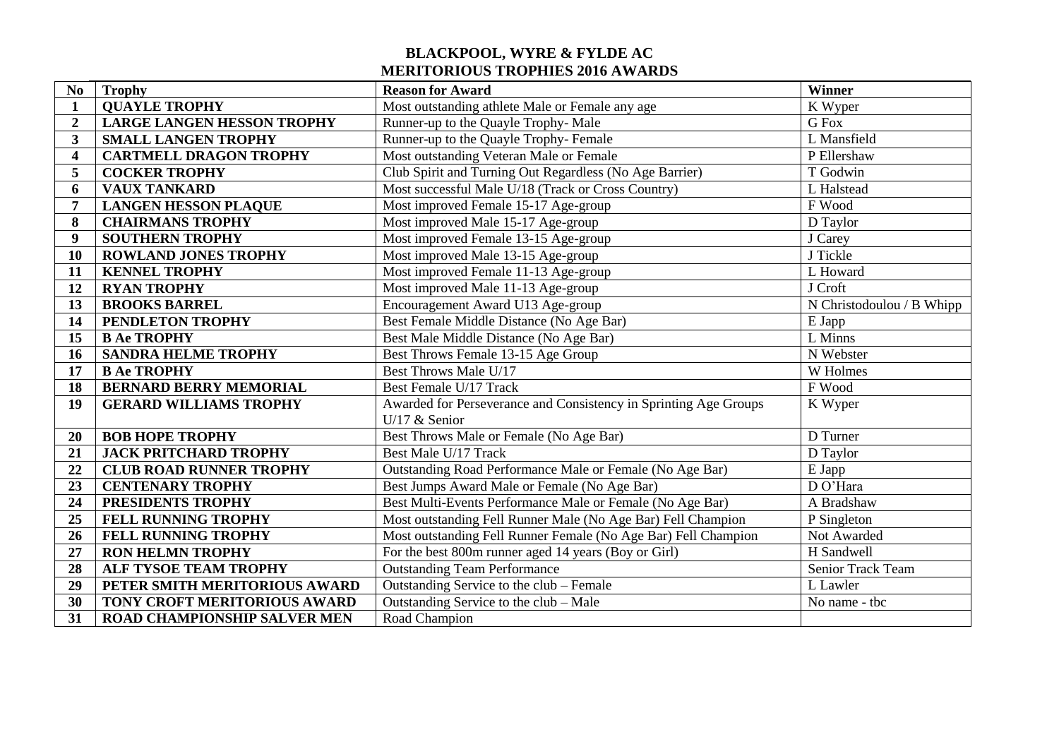## **BLACKPOOL, WYRE & FYLDE AC MERITORIOUS TROPHIES 2016 AWARDS**

| N <sub>0</sub>          | <b>Trophy</b>                                    | <b>Reason for Award</b>                                                             | Winner                    |
|-------------------------|--------------------------------------------------|-------------------------------------------------------------------------------------|---------------------------|
| $\mathbf{1}$            | <b>QUAYLE TROPHY</b>                             | Most outstanding athlete Male or Female any age                                     | K Wyper                   |
| $\overline{2}$          | <b>LARGE LANGEN HESSON TROPHY</b>                | Runner-up to the Quayle Trophy- Male                                                | G Fox                     |
| $\mathbf{3}$            | <b>SMALL LANGEN TROPHY</b>                       | Runner-up to the Quayle Trophy-Female                                               | L Mansfield               |
| $\overline{\mathbf{4}}$ | <b>CARTMELL DRAGON TROPHY</b>                    | Most outstanding Veteran Male or Female                                             | P Ellershaw               |
| 5                       | <b>COCKER TROPHY</b>                             | Club Spirit and Turning Out Regardless (No Age Barrier)                             | T Godwin                  |
| 6                       | <b>VAUX TANKARD</b>                              | Most successful Male U/18 (Track or Cross Country)                                  | L Halstead                |
| 7                       | <b>LANGEN HESSON PLAQUE</b>                      | Most improved Female 15-17 Age-group                                                | F Wood                    |
| 8                       | <b>CHAIRMANS TROPHY</b>                          | Most improved Male 15-17 Age-group                                                  | D Taylor                  |
| $\boldsymbol{9}$        | <b>SOUTHERN TROPHY</b>                           | Most improved Female 13-15 Age-group                                                | J Carey                   |
| 10                      | <b>ROWLAND JONES TROPHY</b>                      | Most improved Male 13-15 Age-group                                                  | J Tickle                  |
| 11                      | <b>KENNEL TROPHY</b>                             | Most improved Female 11-13 Age-group                                                | L Howard                  |
| 12                      | <b>RYAN TROPHY</b>                               | Most improved Male 11-13 Age-group                                                  | J Croft                   |
| 13                      | <b>BROOKS BARREL</b>                             | Encouragement Award U13 Age-group                                                   | N Christodoulou / B Whipp |
| 14                      | PENDLETON TROPHY                                 | Best Female Middle Distance (No Age Bar)                                            | E Japp                    |
| 15                      | <b>B Ae TROPHY</b>                               | Best Male Middle Distance (No Age Bar)                                              | L Minns                   |
| 16                      | <b>SANDRA HELME TROPHY</b>                       | Best Throws Female 13-15 Age Group                                                  | N Webster                 |
| 17                      | <b>B Ae TROPHY</b>                               | Best Throws Male U/17                                                               | W Holmes                  |
| 18                      | <b>BERNARD BERRY MEMORIAL</b>                    | Best Female U/17 Track                                                              | F Wood                    |
| 19                      | <b>GERARD WILLIAMS TROPHY</b>                    | Awarded for Perseverance and Consistency in Sprinting Age Groups<br>U/17 $&$ Senior | K Wyper                   |
| 20                      | <b>BOB HOPE TROPHY</b>                           | Best Throws Male or Female (No Age Bar)                                             | D Turner                  |
| 21                      | <b>JACK PRITCHARD TROPHY</b>                     | Best Male U/17 Track                                                                | D Taylor                  |
| 22                      | <b>CLUB ROAD RUNNER TROPHY</b>                   | Outstanding Road Performance Male or Female (No Age Bar)                            |                           |
| 23                      | <b>CENTENARY TROPHY</b>                          | Best Jumps Award Male or Female (No Age Bar)                                        | E Japp<br>DO'Hara         |
| 24                      | PRESIDENTS TROPHY                                | Best Multi-Events Performance Male or Female (No Age Bar)                           | A Bradshaw                |
| 25                      | <b>FELL RUNNING TROPHY</b>                       | Most outstanding Fell Runner Male (No Age Bar) Fell Champion                        | P Singleton               |
| 26                      |                                                  | Most outstanding Fell Runner Female (No Age Bar) Fell Champion                      | Not Awarded               |
| $\overline{27}$         | FELL RUNNING TROPHY                              | For the best 800m runner aged 14 years (Boy or Girl)                                | H Sandwell                |
| 28                      | <b>RON HELMN TROPHY</b><br>ALF TYSOE TEAM TROPHY | <b>Outstanding Team Performance</b>                                                 | Senior Track Team         |
| 29                      | PETER SMITH MERITORIOUS AWARD                    | Outstanding Service to the club – Female                                            | L Lawler                  |
| 30                      |                                                  |                                                                                     | No name - tbc             |
|                         | TONY CROFT MERITORIOUS AWARD                     | Outstanding Service to the club - Male                                              |                           |
| 31                      | <b>ROAD CHAMPIONSHIP SALVER MEN</b>              | Road Champion                                                                       |                           |